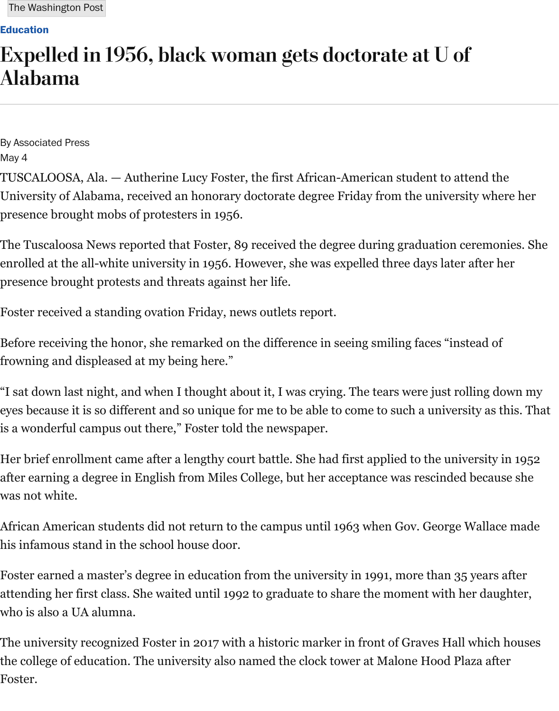By [Associat](https://www.washingtonpost.com/national/higher-education)ed Press May 4

TUSCALOOSA, Ala. — Autherine Lucy Foster, the first African-American student to att University of Alabama, received an honorary doctorate degree Friday from the university presence brought mobs of protesters in 1956.

The Tuscaloosa News reported that Foster, 89 received the degree during graduation ce enrolled at the all-white university in 1956. However, she was expelled three days later presence brought protests and threats against her life.

Foster received a standing ovation Friday, news outlets report.

Before receiving the honor, she remarked on the difference in seeing smiling faces "inst frowning and displeased at my being here."

"I sat down last night, and when I thought about it, I was crying. The tears were just rol eyes because it is so different and so unique for me to be able to come to such a univers is a wonderful campus out there," Foster told the newspaper.

Her brief enrollment came after a lengthy court battle. She had first applied to the univ after earning a degree in English from Miles College, but her acceptance was rescinded was not white.

African American students did not return to the campus until 1963 when Gov. George V his infamous stand in the school house door.

Foster earned a master's degree in education from the university in 1991, more than 35 attending her first class. She waited until 1992 to graduate to share the moment with he who is also a UA alumna.

The university recognized Foster in 2017 with a historic marker in front of Graves Hall the college of education. The university also named the clock tower at Malone Hood Pla Foster.